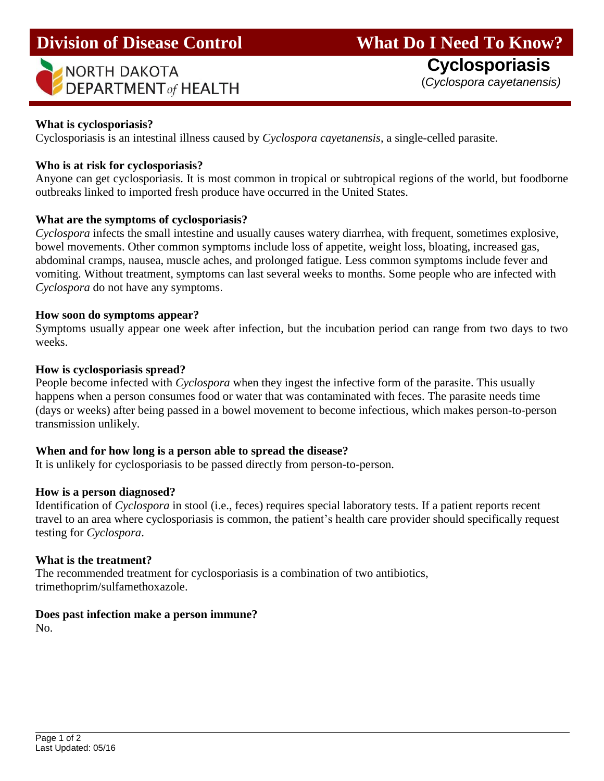| NORTH DAKOTA<br>$\blacktriangleright$ DEPARTMENT of HEALTH |
|------------------------------------------------------------|
|                                                            |

(*Cyclospora cayetanensis)*

## **What is cyclosporiasis?**

Cyclosporiasis is an intestinal illness caused by *Cyclospora cayetanensis*, a single-celled parasite.

### **Who is at risk for cyclosporiasis?**

Anyone can get cyclosporiasis. It is most common in tropical or subtropical regions of the world, but foodborne outbreaks linked to imported fresh produce have occurred in the United States.

### **What are the symptoms of cyclosporiasis?**

*Cyclospora* infects the small intestine and usually causes watery diarrhea, with frequent, sometimes explosive, bowel movements. Other common symptoms include loss of appetite, weight loss, bloating, increased gas, abdominal cramps, nausea, muscle aches, and prolonged fatigue. Less common symptoms include fever and vomiting. Without treatment, symptoms can last several weeks to months. Some people who are infected with *Cyclospora* do not have any symptoms.

#### **How soon do symptoms appear?**

Symptoms usually appear one week after infection, but the incubation period can range from two days to two weeks.

#### **How is cyclosporiasis spread?**

People become infected with *Cyclospora* when they ingest the infective form of the parasite. This usually happens when a person consumes food or water that was contaminated with feces. The parasite needs time (days or weeks) after being passed in a bowel movement to become infectious, which makes person-to-person transmission unlikely.

#### **When and for how long is a person able to spread the disease?**

It is unlikely for cyclosporiasis to be passed directly from person-to-person.

#### **How is a person diagnosed?**

Identification of *Cyclospora* in stool (i.e., feces) requires special laboratory tests. If a patient reports recent travel to an area where cyclosporiasis is common, the patient's health care provider should specifically request testing for *Cyclospora*.

#### **What is the treatment?**

The recommended treatment for cyclosporiasis is a combination of two antibiotics, trimethoprim/sulfamethoxazole.

## **Does past infection make a person immune?**

No.